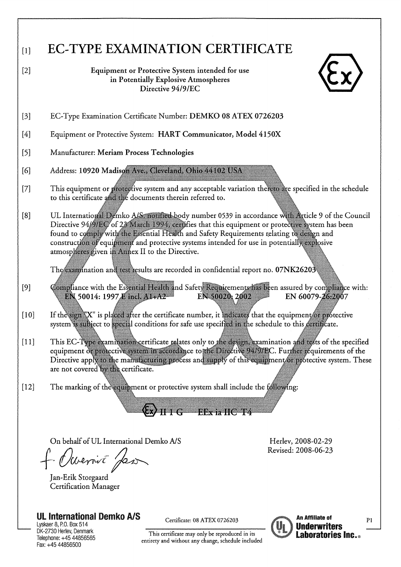| $[1]$<br>[2] | <b>EC-TYPE EXAMINATION CERTIFICATE</b><br>Equipment or Protective System intended for use<br>in Potentially Explosive Atmospheres                                                                                                                                                                                                                                                                                                                                                                                                                     |
|--------------|-------------------------------------------------------------------------------------------------------------------------------------------------------------------------------------------------------------------------------------------------------------------------------------------------------------------------------------------------------------------------------------------------------------------------------------------------------------------------------------------------------------------------------------------------------|
|              | Directive 94/9/EC                                                                                                                                                                                                                                                                                                                                                                                                                                                                                                                                     |
| $[3]$        | EC-Type Examination Certificate Number: DEMKO 08 ATEX 0726203                                                                                                                                                                                                                                                                                                                                                                                                                                                                                         |
| $[4]$        | Equipment or Protective System: HART Communicator, Model 4150X                                                                                                                                                                                                                                                                                                                                                                                                                                                                                        |
| $[5]$        | Manufacturer: Meriam Process Technologies                                                                                                                                                                                                                                                                                                                                                                                                                                                                                                             |
| [6]          | Address: 10920 Madison Ave., Cleveland, Ohio 44102 USA                                                                                                                                                                                                                                                                                                                                                                                                                                                                                                |
| [7]          | This equipment or protective system and any acceptable variation thereto are specified in the schedule<br>to this certificate and the documents therein referred to.                                                                                                                                                                                                                                                                                                                                                                                  |
| [8]          | UL International Demko A/S, notified body number 0539 in accordance with Article 9 of the Council<br>Directive 94/9/EC/ of 23 March 1994, certifies that this equipment or protective system has been<br>found to comply with the Essential Health and Safety Requirements relating to design and<br>construction of equipment and protective systems intended for use in potentially explosive<br>atmospheres given in Annex II to the Directive.<br>The examination and test results are recorded in confidential report no. $07\mathrm{NK}26203$ , |
| $[9]$        | Compliance with the Essential Health and Safety Requirements has been assured by compliance with:<br>EN 50014: 1997 E incl. A1+A2<br>EN 50020: 2002<br>EN 60079-26:2007                                                                                                                                                                                                                                                                                                                                                                               |
| $[10]$       | If the sign "X" is placed after the certificate number, it indicates that the equipment/or protective<br>system is subject to special conditions for safe use specified in the schedule to this certificate.                                                                                                                                                                                                                                                                                                                                          |
| $[11]$       | This EC-Type examination certificate relates only to the design, examination and tests of the specified<br>equipment or protective system in accordance to the Directive 94/9/EC. Further requirements of the<br>Directive apply to the manufacturing process and supply of this equipment/or protective system. These<br>are not covered by the certificate.                                                                                                                                                                                         |
| $[12]$       | The marking of the equipment or protective system shall include the following:<br>$H 1 G = EEx$ ia $HC T4$                                                                                                                                                                                                                                                                                                                                                                                                                                            |
|              | On behalf of UL International Demko A/S<br>Herley, 2008-02-29<br>Revised: 2008-06-23<br>f. Overvit Jean<br>Jan-Erik Storgaard<br>Certification Manager                                                                                                                                                                                                                                                                                                                                                                                                |

**UL International Demko A/S** 

Lyskaer 8, P.O. Box 514<br>DK-2730 Herlev, Denmark<br>Telephone: +45 44856565<br>Fax: +45 44856500

Certificate: 08 ATEX 0726203

This certificate may only be reproduced in its<br>entirety and without any change, schedule included

U

An Affiliate of **Underwriters<br>Laboratories Inc...**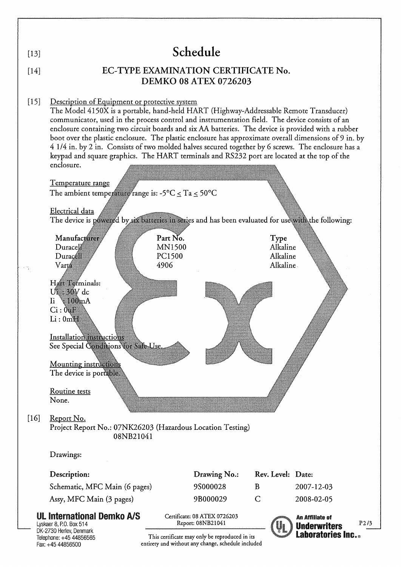| $[13]$           | Schedule                                                                                                                                                                                                                                                                                                                                                                                                                                                                                                                                                                                                                                                                                                                                                                                                                                                                                                                                                                                                                                                                                                                                                                                                                                                                |                                      |                                                                                                      |                                           |                                                      |         |  |  |  |
|------------------|-------------------------------------------------------------------------------------------------------------------------------------------------------------------------------------------------------------------------------------------------------------------------------------------------------------------------------------------------------------------------------------------------------------------------------------------------------------------------------------------------------------------------------------------------------------------------------------------------------------------------------------------------------------------------------------------------------------------------------------------------------------------------------------------------------------------------------------------------------------------------------------------------------------------------------------------------------------------------------------------------------------------------------------------------------------------------------------------------------------------------------------------------------------------------------------------------------------------------------------------------------------------------|--------------------------------------|------------------------------------------------------------------------------------------------------|-------------------------------------------|------------------------------------------------------|---------|--|--|--|
| $[14]$           | EC-TYPE EXAMINATION CERTIFICATE No.<br><b>DEMKO 08 ATEX 0726203</b>                                                                                                                                                                                                                                                                                                                                                                                                                                                                                                                                                                                                                                                                                                                                                                                                                                                                                                                                                                                                                                                                                                                                                                                                     |                                      |                                                                                                      |                                           |                                                      |         |  |  |  |
| $[15]$<br>$[16]$ | Description of Equipment or protective system<br>The Model 4150X is a portable, hand-held HART (Highway-Addressable Remote Transducer)<br>communicator, used in the process control and instrumentation field. The device consists of an<br>enclosure containing two circuit boards and six AA batteries. The device is provided with a rubber<br>boot over the plastic enclosure. The plastic enclosure has approximate overall dimensions of 9 in. by<br>4 1/4 in. by 2 in. Consists of two molded halves secured together by 6 screws. The enclosure has a<br>keypad and square graphics. The HART terminals and RS232 port are located at the top of the<br>enclosure.<br>Temperature range<br>The ambient temperature range is: -5°C $\leq$ Ta $\leq$ 50°C<br>Electrical data<br>The device is powered by six batteries in series and has been evaluated for use with the following:<br>Manufacturer<br>Duracell<br>Duracell<br>Varta<br>Hart Terminals:<br>Ui : 30V dc<br>$\mathrm{I}i \times 100 \mathrm{mA}$<br>Ci:0uF<br>Li:0mH<br>Installation instructions<br>See Special Conditions for Safe-Use.<br>Mounting instructions<br>The device is portable.<br>Routine tests<br>None.<br>Report No.<br>Project Report No.: 07NK26203 (Hazardous Location Testing) | Part No.<br>MN1500<br>PC1500<br>4906 |                                                                                                      | Type<br>Alkaline<br>Alkaline<br>Alkaline. |                                                      |         |  |  |  |
|                  | 08NB21041<br>Drawings:                                                                                                                                                                                                                                                                                                                                                                                                                                                                                                                                                                                                                                                                                                                                                                                                                                                                                                                                                                                                                                                                                                                                                                                                                                                  |                                      |                                                                                                      |                                           |                                                      |         |  |  |  |
|                  |                                                                                                                                                                                                                                                                                                                                                                                                                                                                                                                                                                                                                                                                                                                                                                                                                                                                                                                                                                                                                                                                                                                                                                                                                                                                         |                                      |                                                                                                      |                                           |                                                      |         |  |  |  |
|                  | Description:                                                                                                                                                                                                                                                                                                                                                                                                                                                                                                                                                                                                                                                                                                                                                                                                                                                                                                                                                                                                                                                                                                                                                                                                                                                            |                                      | Drawing No.:                                                                                         | Rev. Level: Date:                         |                                                      |         |  |  |  |
|                  | Schematic, MFC Main (6 pages)                                                                                                                                                                                                                                                                                                                                                                                                                                                                                                                                                                                                                                                                                                                                                                                                                                                                                                                                                                                                                                                                                                                                                                                                                                           |                                      | 9S000028<br>9B000029                                                                                 | B<br>$\mathsf{C}$                         | 2007-12-03                                           |         |  |  |  |
|                  | Assy, MFC Main (3 pages)<br><b>UL International Demko A/S</b><br>Lyskaer 8, P.O. Box 514                                                                                                                                                                                                                                                                                                                                                                                                                                                                                                                                                                                                                                                                                                                                                                                                                                                                                                                                                                                                                                                                                                                                                                                |                                      | Certificate: 08 ATEX 0726203<br>Report: 08NB21041                                                    |                                           | 2008-02-05<br>An Affiliate of<br><b>Underwriters</b> | $P2$ /3 |  |  |  |
|                  | DK-2730 Herlev, Denmark<br>Telephone: +45 44856565<br>Fax: +45 44856500                                                                                                                                                                                                                                                                                                                                                                                                                                                                                                                                                                                                                                                                                                                                                                                                                                                                                                                                                                                                                                                                                                                                                                                                 |                                      | This certificate may only be reproduced in its<br>entirety and without any change, schedule included |                                           | <b>Laboratories Inc</b>                              |         |  |  |  |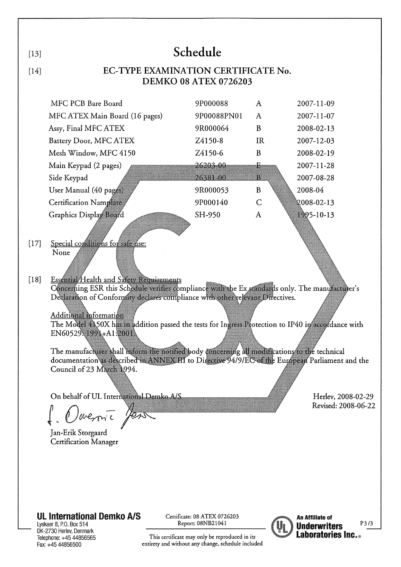| $[13]$                                                                                                                                                                                                                                                                                                                                                                                                                                          |                                                                     | Schedule                                                                                                  |                                                                           |                                                                                                                                                                                                                                                                                                                                                                     |  |  |  |  |
|-------------------------------------------------------------------------------------------------------------------------------------------------------------------------------------------------------------------------------------------------------------------------------------------------------------------------------------------------------------------------------------------------------------------------------------------------|---------------------------------------------------------------------|-----------------------------------------------------------------------------------------------------------|---------------------------------------------------------------------------|---------------------------------------------------------------------------------------------------------------------------------------------------------------------------------------------------------------------------------------------------------------------------------------------------------------------------------------------------------------------|--|--|--|--|
| $[14]$                                                                                                                                                                                                                                                                                                                                                                                                                                          | EC-TYPE EXAMINATION CERTIFICATE No.<br><b>DEMKO 08 ATEX 0726203</b> |                                                                                                           |                                                                           |                                                                                                                                                                                                                                                                                                                                                                     |  |  |  |  |
| MFC PCB Bare Board<br>MFC ATEX Main Board (16 pages)<br>Assy, Final MFC ATEX<br>Battery Door, MFC ATEX<br>Mesh Window, MFC 4150<br>Main Keypad (2 pages)<br>Side Keypad<br>User Manual (40 pages)<br><b>Certification Namplate</b>                                                                                                                                                                                                              |                                                                     | 9P000088<br>9P00088PN01<br>9R000064<br>Z4150-8<br>Z4150-6<br>26203-00<br>26381-00<br>9R000053<br>9P000140 | $\mathbf{A}$<br>A<br>B<br><b>IR</b><br>B<br>£.<br>Ъ<br>B<br>$\mathcal{C}$ | 2007-11-09<br>2007-11-07<br>2008-02-13<br>2007-12-03<br>2008-02-19<br>2007-11-28<br>2007-08-28<br>2008-04<br>$2008 - 02 - 13$                                                                                                                                                                                                                                       |  |  |  |  |
| Graphics Display Board<br>Special conditions for safe use:<br>$[17]$<br>None<br>Essential/Health and Safety Requirements<br>$[18]$<br>Declaration of Conformity declares compliance with other relevant Directives.<br>Additional information<br>EN60529.1991+A1:2001\<br>The manufacturer shall inform the notified body concerning all modifications to the technical<br>Council of 23 March 1994.<br>On behalf of UL International Demko A/S |                                                                     | SH-950                                                                                                    | A                                                                         | 1995-10-13<br>Concerning ESR this Schedule verifies compliance with the Ex standards only. The manufacturer's<br>The Model 4150X has in addition passed the tests for Ingress Protection to IP40 in accordance with<br>documentation as described in ANNEX III to Directive 94/9/EC of the European Parliament and the<br>Herlev, 2008-02-29<br>Revised: 2008-06-22 |  |  |  |  |
| Dovernic Jen<br>Jan-Erik Storgaard<br><b>Certification Manager</b><br><b>UL International Demko A/S</b><br>Lyskaer 8, P.O. Box 514<br>DK-2730 Herlev, Denmark<br>Telephone: +45 44856565                                                                                                                                                                                                                                                        |                                                                     | Certificate: 08 ATEX 0726203<br>Report: 08NB21041<br>This certificate may only be reproduced in its       |                                                                           | An Affiliate of<br>P3/3<br><b>Underwriters</b><br><b>Laboratories Inc.</b> .                                                                                                                                                                                                                                                                                        |  |  |  |  |

Lyskaer 8, P.O. Box 514<br>DK-2730 Herley, Denmark<br>Telephone: +45 44856565<br>Fax: +45 44856500

This certificate may only be reproduced in its<br>entirety and without any change, schedule included